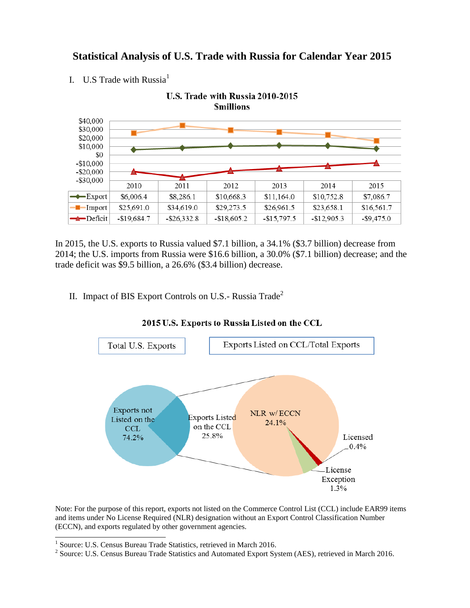## **Statistical Analysis of U.S. Trade with Russia for Calendar Year 2015**

I. U.S Trade with Russia $<sup>1</sup>$ </sup>



In 2015, the U.S. exports to Russia valued \$7.1 billion, a 34.1% (\$3.7 billion) decrease from 2014; the U.S. imports from Russia were \$16.6 billion, a 30.0% (\$7.1 billion) decrease; and the trade deficit was \$9.5 billion, a 26.6% (\$3.4 billion) decrease.

II. Impact of BIS Export Controls on U.S.- Russia Trade<sup>2</sup>



2015 U.S. Exports to Russia Listed on the CCL

Note: For the purpose of this report, exports not listed on the Commerce Control List (CCL) include EAR99 items and items under No License Required (NLR) designation without an Export Control Classification Number (ECCN), and exports regulated by other government agencies.

 1 Source: U.S. Census Bureau Trade Statistics, retrieved in March 2016.

<sup>&</sup>lt;sup>2</sup> Source: U.S. Census Bureau Trade Statistics and Automated Export System (AES), retrieved in March 2016.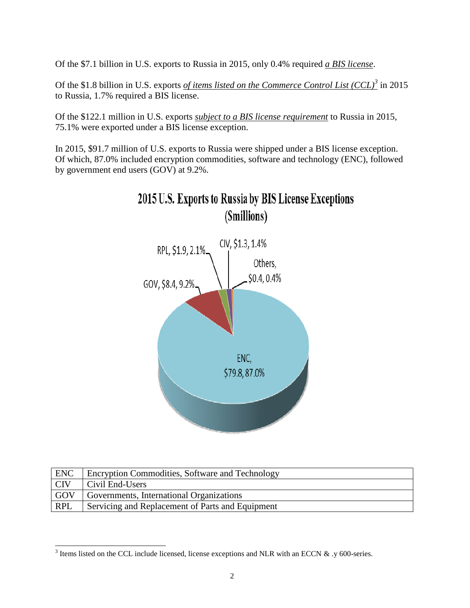Of the \$7.1 billion in U.S. exports to Russia in 2015, only 0.4% required *a BIS license*.

Of the \$1.8 billion in U.S. exports *of items listed on the Commerce Control List (CCL)<sup>3</sup>* in 2015 to Russia, 1.7% required a BIS license.

Of the \$122.1 million in U.S. exports *subject to a BIS license requirement* to Russia in 2015, 75.1% were exported under a BIS license exception.

In 2015, \$91.7 million of U.S. exports to Russia were shipped under a BIS license exception. Of which, 87.0% included encryption commodities, software and technology (ENC), followed by government end users (GOV) at 9.2%.



| <b>ENC</b> | <b>Encryption Commodities, Software and Technology</b> |
|------------|--------------------------------------------------------|
| <b>CIV</b> | Civil End-Users                                        |
| GOV        | Governments, International Organizations               |
| <b>RPL</b> | Servicing and Replacement of Parts and Equipment       |

<sup>&</sup>lt;sup>3</sup> Items listed on the CCL include licensed, license exceptions and NLR with an ECCN & .y 600-series.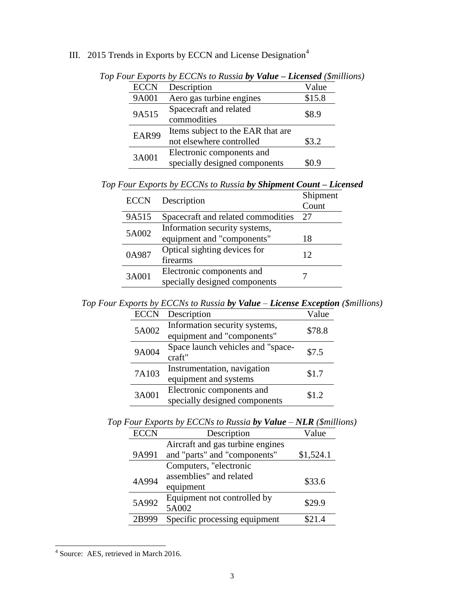## III. 2015 Trends in Exports by ECCN and License Designation<sup>4</sup>

| <b>ECCN</b> | Description                       | Value  |
|-------------|-----------------------------------|--------|
| 9A001       | Aero gas turbine engines          | \$15.8 |
| 9A515       | Spacecraft and related            | \$8.9  |
|             | commodities                       |        |
| EAR99       | Items subject to the EAR that are |        |
|             | not elsewhere controlled          | \$3.2  |
| 3A001       | Electronic components and         |        |
|             | specially designed components     | SO 9   |
|             |                                   |        |

*Top Four Exports by ECCNs to Russia by Value – Licensed (\$millions)*

*Top Four Exports by ECCNs to Russia by Shipment Count – Licensed*

| <b>ECCN</b> | Description                        | Shipment |  |
|-------------|------------------------------------|----------|--|
|             |                                    | Count    |  |
| 9A515       | Spacecraft and related commodities | 27       |  |
| 5A002       | Information security systems,      |          |  |
|             | equipment and "components"         | 18       |  |
| 0A987       | Optical sighting devices for       | 12       |  |
|             | firearms                           |          |  |
|             | Electronic components and          |          |  |
| 3A001       | specially designed components      |          |  |

*Top Four Exports by ECCNs to Russia by Value – License Exception (\$millions)*

| <b>ECCN</b> | Description                       | Value  |  |
|-------------|-----------------------------------|--------|--|
| 5A002       | Information security systems,     | \$78.8 |  |
|             | equipment and "components"        |        |  |
| 9A004       | Space launch vehicles and "space- | \$7.5  |  |
|             | craft"                            |        |  |
| 7A103       | Instrumentation, navigation       | \$1.7  |  |
|             | equipment and systems             |        |  |
| 3A001       | Electronic components and         | \$1.2  |  |
|             | specially designed components     |        |  |

|  |  |  |  | Top Four Exports by ECCNs to Russia by Value $-NLR$ (\$millions) |
|--|--|--|--|------------------------------------------------------------------|
|  |  |  |  |                                                                  |

| <b>ECCN</b>       | Description                      | Value     |
|-------------------|----------------------------------|-----------|
|                   | Aircraft and gas turbine engines |           |
| 9A991             | and "parts" and "components"     | \$1,524.1 |
|                   | Computers, "electronic           |           |
| 4A994             | assemblies" and related          | \$33.6    |
|                   | equipment                        |           |
| 5A992             | Equipment not controlled by      | \$29.9    |
|                   | 5A002                            |           |
| 2B99 <sup>c</sup> | Specific processing equipment    | S21 4     |

 4 Source: AES, retrieved in March 2016.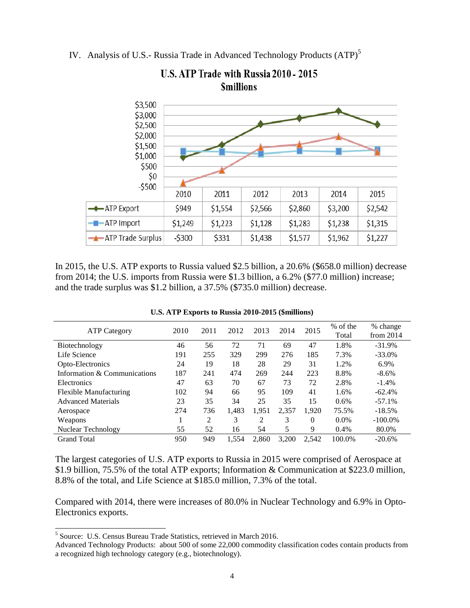IV. Analysis of U.S.- Russia Trade in Advanced Technology Products (ATP)<sup>5</sup>



U.S. ATP Trade with Russia 2010 - 2015 **Smillions** 

In 2015, the U.S. ATP exports to Russia valued \$2.5 billion, a 20.6% (\$658.0 million) decrease from 2014; the U.S. imports from Russia were \$1.3 billion, a 6.2% (\$77.0 million) increase; and the trade surplus was \$1.2 billion, a 37.5% (\$735.0 million) decrease.

| <b>ATP Category</b>          | 2010 | 2011 | 2012  | 2013  | 2014  | 2015  | % of the<br>Total | % change<br>from $2014$ |
|------------------------------|------|------|-------|-------|-------|-------|-------------------|-------------------------|
| Biotechnology                | 46   | 56   | 72    | 71    | 69    | 47    | 1.8%              | $-31.9%$                |
| Life Science                 | 191  | 255  | 329   | 299   | 276   | 185   | 7.3%              | $-33.0%$                |
| Opto-Electronics             | 24   | 19   | 18    | 28    | 29    | 31    | 1.2%              | 6.9%                    |
| Information & Communications | 187  | 241  | 474   | 269   | 244   | 223   | 8.8%              | $-8.6\%$                |
| Electronics                  | 47   | 63   | 70    | 67    | 73    | 72    | 2.8%              | $-1.4%$                 |
| Flexible Manufacturing       | 102  | 94   | 66    | 95    | 109   | 41    | 1.6%              | $-62.4%$                |
| <b>Advanced Materials</b>    | 23   | 35   | 34    | 25    | 35    | 15    | 0.6%              | $-57.1%$                |
| Aerospace                    | 274  | 736  | 1.483 | 1.951 | 2.357 | 1.920 | 75.5%             | $-18.5%$                |
| Weapons                      |      | 2    | 3     | 2     | 3     | 0     | $0.0\%$           | $-100.0\%$              |
| Nuclear Technology           | 55   | 52   | 16    | 54    | 5     | 9     | 0.4%              | 80.0%                   |
| <b>Grand Total</b>           | 950  | 949  | 1.554 | 2.860 | 3.200 | 2.542 | 100.0%            | $-20.6%$                |

| U.S. ATP Exports to Russia 2010-2015 (\$millions) |  |  |  |  |  |
|---------------------------------------------------|--|--|--|--|--|
|---------------------------------------------------|--|--|--|--|--|

The largest categories of U.S. ATP exports to Russia in 2015 were comprised of Aerospace at \$1.9 billion, 75.5% of the total ATP exports; Information & Communication at \$223.0 million, 8.8% of the total, and Life Science at \$185.0 million, 7.3% of the total.

Compared with 2014, there were increases of 80.0% in Nuclear Technology and 6.9% in Opto-Electronics exports.

 $\overline{a}$ 

<sup>&</sup>lt;sup>5</sup> Source: U.S. Census Bureau Trade Statistics, retrieved in March 2016.

Advanced Technology Products: about 500 of some 22,000 commodity classification codes contain products from a recognized high technology category (e.g., biotechnology).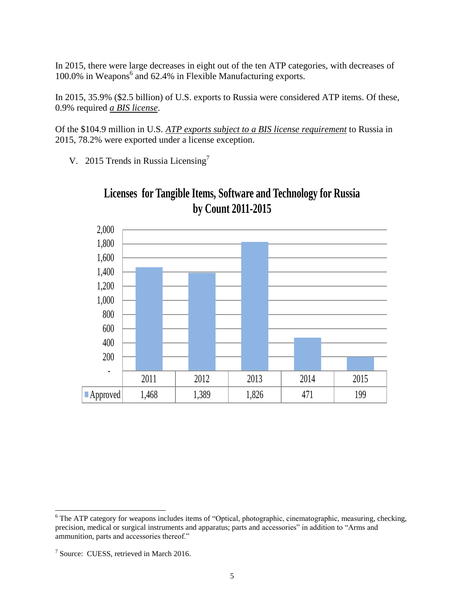In 2015, there were large decreases in eight out of the ten ATP categories, with decreases of 100.0% in Weapons<sup>6</sup> and 62.4% in Flexible Manufacturing exports.

In 2015, 35.9% (\$2.5 billion) of U.S. exports to Russia were considered ATP items. Of these, 0.9% required *a BIS license*.

Of the \$104.9 million in U.S. *ATP exports subject to a BIS license requirement* to Russia in 2015, 78.2% were exported under a license exception.

V. 2015 Trends in Russia Licensing<sup>7</sup>



**Licenses for Tangible Items, Software and Technology for Russia by Count 2011-2015**

 $\overline{a}$ <sup>6</sup> The ATP category for weapons includes items of "Optical, photographic, cinematographic, measuring, checking, precision, medical or surgical instruments and apparatus; parts and accessories" in addition to "Arms and ammunition, parts and accessories thereof."

<sup>&</sup>lt;sup>7</sup> Source: CUESS, retrieved in March 2016.